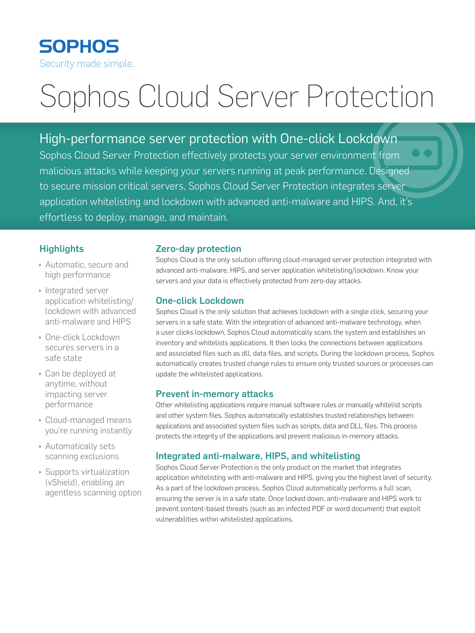# **SOPHOS** Security made simple.

# Sophos Cloud Server Protection

High-performance server protection with One-click Lockdown Sophos Cloud Server Protection effectively protects your server environment from malicious attacks while keeping your servers running at peak performance. Designed to secure mission critical servers, Sophos Cloud Server Protection integrates server application whitelisting and lockdown with advanced anti-malware and HIPS. And, it's effortless to deploy, manage, and maintain.

## **Highlights**

- Automatic, secure and high performance
- **Integrated server** application whitelisting/ lockdown with advanced anti-malware and HIPS
- **Die-click Lockdown** secures servers in a safe state
- **Can be deployed at** anytime, without impacting server performance
- **Cloud-managed means** you're running instantly
- **Automatically sets** scanning exclusions
- $\rightarrow$  Supports virtualization (vShield), enabling an agentless scanning option

## Zero-day protection

Sophos Cloud is the only solution offering cloud-managed server protection integrated with advanced anti-malware, HIPS, and server application whitelisting/lockdown. Know your servers and your data is effectively protected from zero-day attacks.

## One-click Lockdown

Sophos Cloud is the only solution that achieves lockdown with a single click, securing your servers in a safe state. With the integration of advanced anti-malware technology, when a user clicks lockdown, Sophos Cloud automatically scans the system and establishes an inventory and whitelists applications. It then locks the connections between applications and associated files such as dll, data files, and scripts. During the lockdown process, Sophos automatically creates trusted change rules to ensure only trusted sources or processes can update the whitelisted applications.

## Prevent in-memory attacks

Other whitelisting applications require manual software rules or manually whitelist scripts and other system files. Sophos automatically establishes trusted relationships between applications and associated system files such as scripts, data and DLL files. This process protects the integrity of the applications and prevent malicious in-memory attacks.

## Integrated anti-malware, HIPS, and whitelisting

Sophos Cloud Server Protection is the only product on the market that integrates application whitelisting with anti-malware and HIPS, giving you the highest level of security. As a part of the lockdown process, Sophos Cloud automatically performs a full scan, ensuring the server is in a safe state. Once locked down, anti-malware and HIPS work to prevent content-based threats (such as an infected PDF or word document) that exploit vulnerabilities within whitelisted applications.